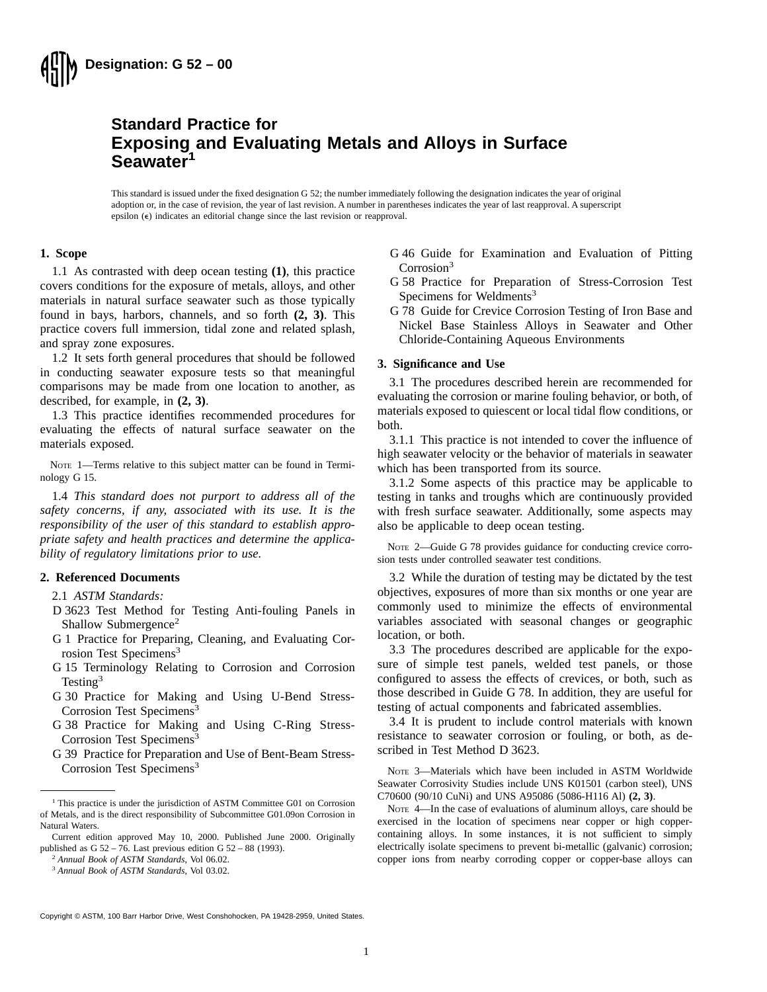

# **Standard Practice for Exposing and Evaluating Metals and Alloys in Surface Seawater<sup>1</sup>**

This standard is issued under the fixed designation G 52; the number immediately following the designation indicates the year of original adoption or, in the case of revision, the year of last revision. A number in parentheses indicates the year of last reapproval. A superscript epsilon  $(\epsilon)$  indicates an editorial change since the last revision or reapproval.

# **1. Scope**

1.1 As contrasted with deep ocean testing **(1)**, this practice covers conditions for the exposure of metals, alloys, and other materials in natural surface seawater such as those typically found in bays, harbors, channels, and so forth **(2, 3)**. This practice covers full immersion, tidal zone and related splash, and spray zone exposures.

1.2 It sets forth general procedures that should be followed in conducting seawater exposure tests so that meaningful comparisons may be made from one location to another, as described, for example, in **(2, 3)**.

1.3 This practice identifies recommended procedures for evaluating the effects of natural surface seawater on the materials exposed.

NOTE 1—Terms relative to this subject matter can be found in Terminology G 15.

1.4 *This standard does not purport to address all of the safety concerns, if any, associated with its use. It is the responsibility of the user of this standard to establish appropriate safety and health practices and determine the applicability of regulatory limitations prior to use.*

# **2. Referenced Documents**

- 2.1 *ASTM Standards:*
- D 3623 Test Method for Testing Anti-fouling Panels in Shallow Submergence<sup>2</sup>
- G 1 Practice for Preparing, Cleaning, and Evaluating Corrosion Test Specimens<sup>3</sup>
- G 15 Terminology Relating to Corrosion and Corrosion Testing<sup>3</sup>
- G 30 Practice for Making and Using U-Bend Stress-Corrosion Test Specimens<sup>3</sup>
- G 38 Practice for Making and Using C-Ring Stress-Corrosion Test Specimens<sup>3</sup>
- G 39 Practice for Preparation and Use of Bent-Beam Stress-Corrosion Test Specimens<sup>3</sup>

G 46 Guide for Examination and Evaluation of Pitting Corrosion<sup>3</sup>

- G 58 Practice for Preparation of Stress-Corrosion Test Specimens for Weldments<sup>3</sup>
- G 78 Guide for Crevice Corrosion Testing of Iron Base and Nickel Base Stainless Alloys in Seawater and Other Chloride-Containing Aqueous Environments

## **3. Significance and Use**

3.1 The procedures described herein are recommended for evaluating the corrosion or marine fouling behavior, or both, of materials exposed to quiescent or local tidal flow conditions, or both.

3.1.1 This practice is not intended to cover the influence of high seawater velocity or the behavior of materials in seawater which has been transported from its source.

3.1.2 Some aspects of this practice may be applicable to testing in tanks and troughs which are continuously provided with fresh surface seawater. Additionally, some aspects may also be applicable to deep ocean testing.

NOTE 2—Guide G 78 provides guidance for conducting crevice corrosion tests under controlled seawater test conditions.

3.2 While the duration of testing may be dictated by the test objectives, exposures of more than six months or one year are commonly used to minimize the effects of environmental variables associated with seasonal changes or geographic location, or both.

3.3 The procedures described are applicable for the exposure of simple test panels, welded test panels, or those configured to assess the effects of crevices, or both, such as those described in Guide G 78. In addition, they are useful for testing of actual components and fabricated assemblies.

3.4 It is prudent to include control materials with known resistance to seawater corrosion or fouling, or both, as described in Test Method D 3623.

NOTE 3—Materials which have been included in ASTM Worldwide Seawater Corrosivity Studies include UNS K01501 (carbon steel), UNS C70600 (90/10 CuNi) and UNS A95086 (5086-H116 Al) **(2, 3)**.

NOTE 4—In the case of evaluations of aluminum alloys, care should be exercised in the location of specimens near copper or high coppercontaining alloys. In some instances, it is not sufficient to simply electrically isolate specimens to prevent bi-metallic (galvanic) corrosion; copper ions from nearby corroding copper or copper-base alloys can

<sup>&</sup>lt;sup>1</sup> This practice is under the jurisdiction of ASTM Committee G01 on Corrosion of Metals, and is the direct responsibility of Subcommittee G01.09on Corrosion in Natural Waters.

Current edition approved May 10, 2000. Published June 2000. Originally published as G 52 – 76. Last previous edition G 52 – 88 (1993).

<sup>2</sup> *Annual Book of ASTM Standards*, Vol 06.02.

<sup>3</sup> *Annual Book of ASTM Standards*, Vol 03.02.

Copyright © ASTM, 100 Barr Harbor Drive, West Conshohocken, PA 19428-2959, United States.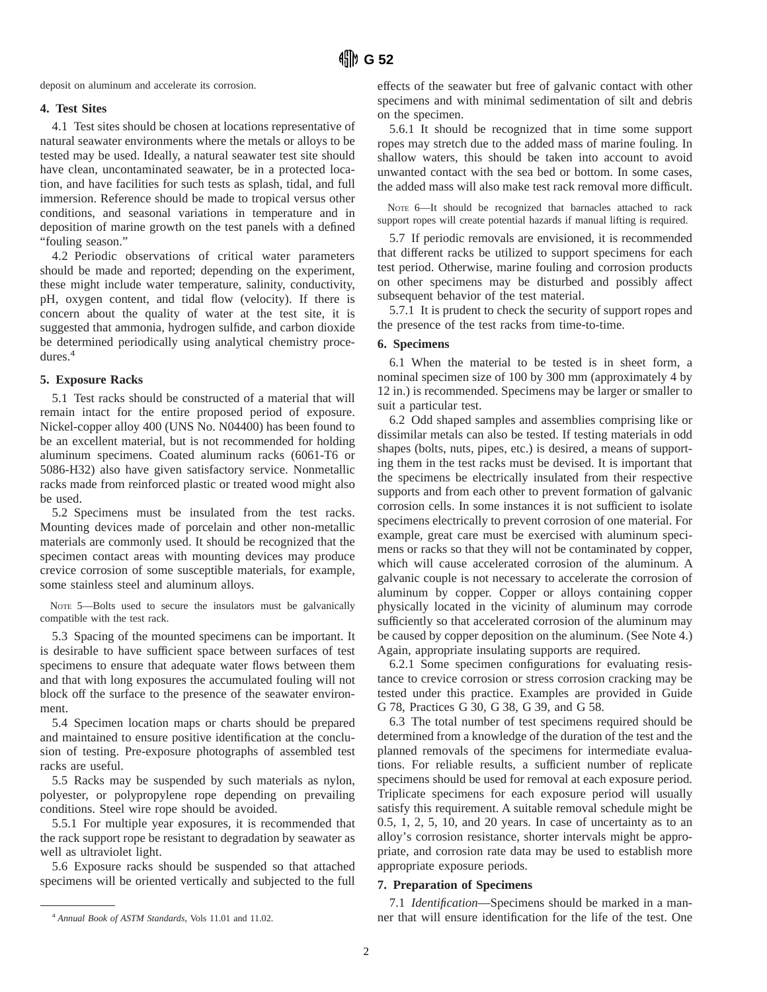deposit on aluminum and accelerate its corrosion.

# **4. Test Sites**

4.1 Test sites should be chosen at locations representative of natural seawater environments where the metals or alloys to be tested may be used. Ideally, a natural seawater test site should have clean, uncontaminated seawater, be in a protected location, and have facilities for such tests as splash, tidal, and full immersion. Reference should be made to tropical versus other conditions, and seasonal variations in temperature and in deposition of marine growth on the test panels with a defined "fouling season."

4.2 Periodic observations of critical water parameters should be made and reported; depending on the experiment, these might include water temperature, salinity, conductivity, pH, oxygen content, and tidal flow (velocity). If there is concern about the quality of water at the test site, it is suggested that ammonia, hydrogen sulfide, and carbon dioxide be determined periodically using analytical chemistry procedures.4

# **5. Exposure Racks**

5.1 Test racks should be constructed of a material that will remain intact for the entire proposed period of exposure. Nickel-copper alloy 400 (UNS No. N04400) has been found to be an excellent material, but is not recommended for holding aluminum specimens. Coated aluminum racks (6061-T6 or 5086-H32) also have given satisfactory service. Nonmetallic racks made from reinforced plastic or treated wood might also be used.

5.2 Specimens must be insulated from the test racks. Mounting devices made of porcelain and other non-metallic materials are commonly used. It should be recognized that the specimen contact areas with mounting devices may produce crevice corrosion of some susceptible materials, for example, some stainless steel and aluminum alloys.

NOTE 5—Bolts used to secure the insulators must be galvanically compatible with the test rack.

5.3 Spacing of the mounted specimens can be important. It is desirable to have sufficient space between surfaces of test specimens to ensure that adequate water flows between them and that with long exposures the accumulated fouling will not block off the surface to the presence of the seawater environment.

5.4 Specimen location maps or charts should be prepared and maintained to ensure positive identification at the conclusion of testing. Pre-exposure photographs of assembled test racks are useful.

5.5 Racks may be suspended by such materials as nylon, polyester, or polypropylene rope depending on prevailing conditions. Steel wire rope should be avoided.

5.5.1 For multiple year exposures, it is recommended that the rack support rope be resistant to degradation by seawater as well as ultraviolet light.

5.6 Exposure racks should be suspended so that attached specimens will be oriented vertically and subjected to the full

effects of the seawater but free of galvanic contact with other specimens and with minimal sedimentation of silt and debris on the specimen.

5.6.1 It should be recognized that in time some support ropes may stretch due to the added mass of marine fouling. In shallow waters, this should be taken into account to avoid unwanted contact with the sea bed or bottom. In some cases, the added mass will also make test rack removal more difficult.

NOTE 6—It should be recognized that barnacles attached to rack support ropes will create potential hazards if manual lifting is required.

5.7 If periodic removals are envisioned, it is recommended that different racks be utilized to support specimens for each test period. Otherwise, marine fouling and corrosion products on other specimens may be disturbed and possibly affect subsequent behavior of the test material.

5.7.1 It is prudent to check the security of support ropes and the presence of the test racks from time-to-time.

#### **6. Specimens**

6.1 When the material to be tested is in sheet form, a nominal specimen size of 100 by 300 mm (approximately 4 by 12 in.) is recommended. Specimens may be larger or smaller to suit a particular test.

6.2 Odd shaped samples and assemblies comprising like or dissimilar metals can also be tested. If testing materials in odd shapes (bolts, nuts, pipes, etc.) is desired, a means of supporting them in the test racks must be devised. It is important that the specimens be electrically insulated from their respective supports and from each other to prevent formation of galvanic corrosion cells. In some instances it is not sufficient to isolate specimens electrically to prevent corrosion of one material. For example, great care must be exercised with aluminum specimens or racks so that they will not be contaminated by copper, which will cause accelerated corrosion of the aluminum. A galvanic couple is not necessary to accelerate the corrosion of aluminum by copper. Copper or alloys containing copper physically located in the vicinity of aluminum may corrode sufficiently so that accelerated corrosion of the aluminum may be caused by copper deposition on the aluminum. (See Note 4.) Again, appropriate insulating supports are required.

6.2.1 Some specimen configurations for evaluating resistance to crevice corrosion or stress corrosion cracking may be tested under this practice. Examples are provided in Guide G 78, Practices G 30, G 38, G 39, and G 58.

6.3 The total number of test specimens required should be determined from a knowledge of the duration of the test and the planned removals of the specimens for intermediate evaluations. For reliable results, a sufficient number of replicate specimens should be used for removal at each exposure period. Triplicate specimens for each exposure period will usually satisfy this requirement. A suitable removal schedule might be 0.5, 1, 2, 5, 10, and 20 years. In case of uncertainty as to an alloy's corrosion resistance, shorter intervals might be appropriate, and corrosion rate data may be used to establish more appropriate exposure periods.

#### **7. Preparation of Specimens**

7.1 *Identification*—Specimens should be marked in a man-<sup>4</sup> Annual Book of ASTM Standards, Vols 11.01 and 11.02. **here** that will ensure identification for the life of the test. One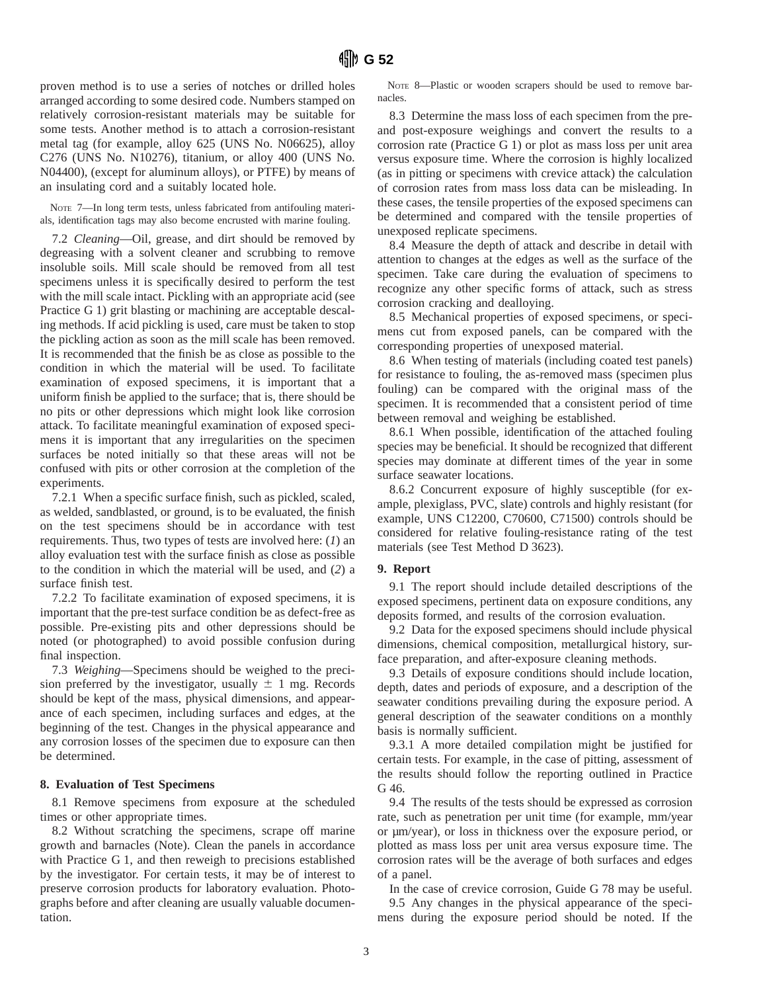proven method is to use a series of notches or drilled holes arranged according to some desired code. Numbers stamped on relatively corrosion-resistant materials may be suitable for some tests. Another method is to attach a corrosion-resistant metal tag (for example, alloy 625 (UNS No. N06625), alloy C276 (UNS No. N10276), titanium, or alloy 400 (UNS No. N04400), (except for aluminum alloys), or PTFE) by means of an insulating cord and a suitably located hole.

NOTE 7—In long term tests, unless fabricated from antifouling materials, identification tags may also become encrusted with marine fouling.

7.2 *Cleaning*—Oil, grease, and dirt should be removed by degreasing with a solvent cleaner and scrubbing to remove insoluble soils. Mill scale should be removed from all test specimens unless it is specifically desired to perform the test with the mill scale intact. Pickling with an appropriate acid (see Practice G 1) grit blasting or machining are acceptable descaling methods. If acid pickling is used, care must be taken to stop the pickling action as soon as the mill scale has been removed. It is recommended that the finish be as close as possible to the condition in which the material will be used. To facilitate examination of exposed specimens, it is important that a uniform finish be applied to the surface; that is, there should be no pits or other depressions which might look like corrosion attack. To facilitate meaningful examination of exposed specimens it is important that any irregularities on the specimen surfaces be noted initially so that these areas will not be confused with pits or other corrosion at the completion of the experiments.

7.2.1 When a specific surface finish, such as pickled, scaled, as welded, sandblasted, or ground, is to be evaluated, the finish on the test specimens should be in accordance with test requirements. Thus, two types of tests are involved here: (*1*) an alloy evaluation test with the surface finish as close as possible to the condition in which the material will be used, and (*2*) a surface finish test.

7.2.2 To facilitate examination of exposed specimens, it is important that the pre-test surface condition be as defect-free as possible. Pre-existing pits and other depressions should be noted (or photographed) to avoid possible confusion during final inspection.

7.3 *Weighing*—Specimens should be weighed to the precision preferred by the investigator, usually  $\pm$  1 mg. Records should be kept of the mass, physical dimensions, and appearance of each specimen, including surfaces and edges, at the beginning of the test. Changes in the physical appearance and any corrosion losses of the specimen due to exposure can then be determined.

# **8. Evaluation of Test Specimens**

8.1 Remove specimens from exposure at the scheduled times or other appropriate times.

8.2 Without scratching the specimens, scrape off marine growth and barnacles (Note). Clean the panels in accordance with Practice G 1, and then reweigh to precisions established by the investigator. For certain tests, it may be of interest to preserve corrosion products for laboratory evaluation. Photographs before and after cleaning are usually valuable documentation.

NOTE 8—Plastic or wooden scrapers should be used to remove barnacles.

8.3 Determine the mass loss of each specimen from the preand post-exposure weighings and convert the results to a corrosion rate (Practice G 1) or plot as mass loss per unit area versus exposure time. Where the corrosion is highly localized (as in pitting or specimens with crevice attack) the calculation of corrosion rates from mass loss data can be misleading. In these cases, the tensile properties of the exposed specimens can be determined and compared with the tensile properties of unexposed replicate specimens.

8.4 Measure the depth of attack and describe in detail with attention to changes at the edges as well as the surface of the specimen. Take care during the evaluation of specimens to recognize any other specific forms of attack, such as stress corrosion cracking and dealloying.

8.5 Mechanical properties of exposed specimens, or specimens cut from exposed panels, can be compared with the corresponding properties of unexposed material.

8.6 When testing of materials (including coated test panels) for resistance to fouling, the as-removed mass (specimen plus fouling) can be compared with the original mass of the specimen. It is recommended that a consistent period of time between removal and weighing be established.

8.6.1 When possible, identification of the attached fouling species may be beneficial. It should be recognized that different species may dominate at different times of the year in some surface seawater locations.

8.6.2 Concurrent exposure of highly susceptible (for example, plexiglass, PVC, slate) controls and highly resistant (for example, UNS C12200, C70600, C71500) controls should be considered for relative fouling-resistance rating of the test materials (see Test Method D 3623).

### **9. Report**

9.1 The report should include detailed descriptions of the exposed specimens, pertinent data on exposure conditions, any deposits formed, and results of the corrosion evaluation.

9.2 Data for the exposed specimens should include physical dimensions, chemical composition, metallurgical history, surface preparation, and after-exposure cleaning methods.

9.3 Details of exposure conditions should include location, depth, dates and periods of exposure, and a description of the seawater conditions prevailing during the exposure period. A general description of the seawater conditions on a monthly basis is normally sufficient.

9.3.1 A more detailed compilation might be justified for certain tests. For example, in the case of pitting, assessment of the results should follow the reporting outlined in Practice G 46.

9.4 The results of the tests should be expressed as corrosion rate, such as penetration per unit time (for example, mm/year or µm/year), or loss in thickness over the exposure period, or plotted as mass loss per unit area versus exposure time. The corrosion rates will be the average of both surfaces and edges of a panel.

In the case of crevice corrosion, Guide G 78 may be useful. 9.5 Any changes in the physical appearance of the specimens during the exposure period should be noted. If the